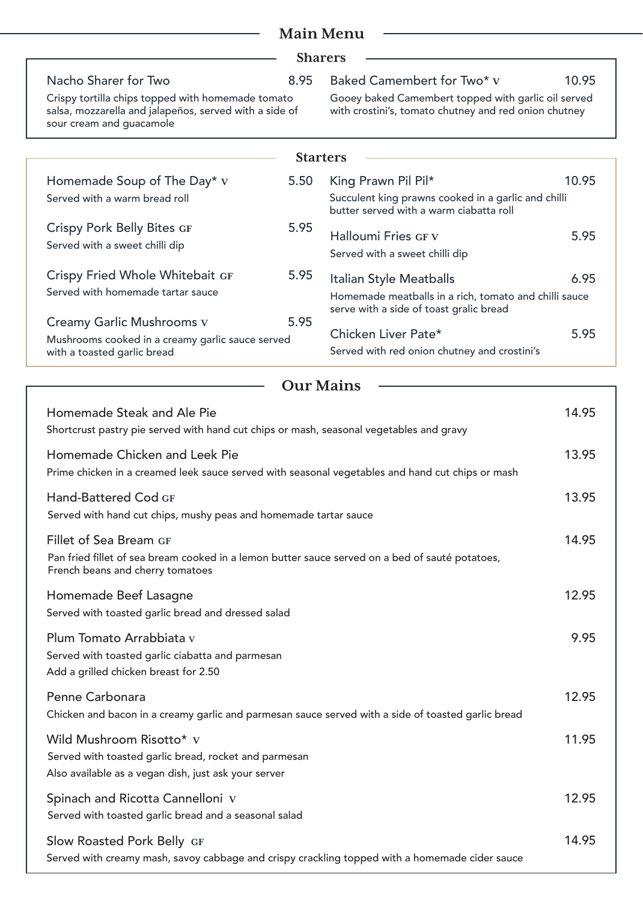| <b>Main Menu</b><br><b>Sharers</b>                                                                                                                            |      |                                                                                                                             |       |  |  |
|---------------------------------------------------------------------------------------------------------------------------------------------------------------|------|-----------------------------------------------------------------------------------------------------------------------------|-------|--|--|
|                                                                                                                                                               |      |                                                                                                                             |       |  |  |
|                                                                                                                                                               |      | <b>Starters</b>                                                                                                             |       |  |  |
| Homemade Soup of The Day* $v$<br>Served with a warm bread roll                                                                                                | 5.50 | King Prawn Pil Pil*<br>Succulent king prawns cooked in a garlic and chilli<br>butter served with a warm ciabatta roll       | 10.95 |  |  |
| <b>Crispy Pork Belly Bites GF</b><br>Served with a sweet chilli dip                                                                                           | 5.95 | <b>Halloumi Fries GF V</b><br>Served with a sweet chilli dip                                                                | 5.95  |  |  |
| Crispy Fried Whole Whitebait GF<br>Served with homemade tartar sauce                                                                                          | 5.95 | Italian Style Meatballs<br>Homemade meatballs in a rich, tomato and chilli sauce<br>serve with a side of toast gralic bread | 6.95  |  |  |
| Creamy Garlic Mushrooms v<br>Mushrooms cooked in a creamy garlic sauce served<br>with a toasted garlic bread                                                  | 5.95 | Chicken Liver Pate*<br>Served with red onion chutney and crostini's                                                         | 5.95  |  |  |
|                                                                                                                                                               |      | <b>Our Mains</b>                                                                                                            |       |  |  |
| Homemade Steak and Ale Pie<br>Shortcrust pastry pie served with hand cut chips or mash, seasonal vegetables and gravy                                         |      |                                                                                                                             | 14.95 |  |  |
| Homemade Chicken and Leek Pie<br>Prime chicken in a creamed leek sauce served with seasonal vegetables and hand cut chips or mash                             |      |                                                                                                                             | 13.95 |  |  |
| Hand-Battered Cod GF<br>Served with hand cut chips, mushy peas and homemade tartar sauce                                                                      |      |                                                                                                                             | 13.95 |  |  |
| Fillet of Sea Bream GF<br>Pan fried fillet of sea bream cooked in a lemon butter sauce served on a bed of sauté potatoes,<br>French beans and cherry tomatoes |      |                                                                                                                             | 14.95 |  |  |
| Homemade Beef Lasagne<br>Served with toasted garlic bread and dressed salad                                                                                   |      |                                                                                                                             | 12.95 |  |  |
| Plum Tomato Arrabbiata v<br>Served with toasted garlic ciabatta and parmesan<br>Add a grilled chicken breast for 2.50                                         |      |                                                                                                                             | 9.95  |  |  |
| Penne Carbonara<br>Chicken and bacon in a creamy garlic and parmesan sauce served with a side of toasted garlic bread                                         |      |                                                                                                                             | 12.95 |  |  |
| Wild Mushroom Risotto* v<br>Served with toasted garlic bread, rocket and parmesan<br>Also available as a vegan dish, just ask your server                     |      |                                                                                                                             | 11.95 |  |  |
| Spinach and Ricotta Cannelloni v<br>Served with toasted garlic bread and a seasonal salad                                                                     |      |                                                                                                                             | 12.95 |  |  |
| Slow Roasted Pork Belly GF<br>Served with creamy mash, savoy cabbage and crispy crackling topped with a homemade cider sauce                                  |      |                                                                                                                             | 14.95 |  |  |